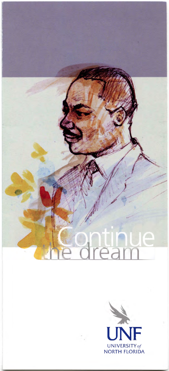

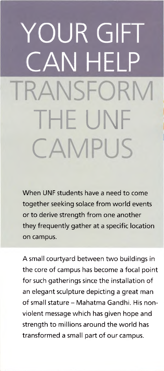# OUR GIFT CAN HELP **NSEORN** THE UNF **CAMPUS**

When UNF students have <sup>a</sup> need to come together seeking solace from world events or to derive strength from one another they frequently gather at a specific location on campus.

A small courtyard between two buildings in the core of campus has become a focal point for such gatherings since the installation of an elegant sculpture depicting a great man of small stature - Mahatma Gandhi. His nonviolent message which has given hope and strength to millions around the world has transformed a small part of our campus.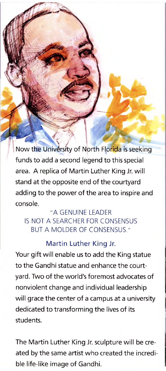Now the University of North Florida is seeking funds to add a second legend to this special area. A replica of Martin Luther King Jr. will stand at the opposite end of the courtyard adding to the power of the area to inspire and console.

## "A GENUINE LEADER IS NOT A SEARCHER FOR CONSENSUS BUT A MOLDER OF CONSENSUS."

### Martin Luther King Jr.

Your gift will enable us to add the King statue to the Gandhi statue and enhance the courtyard. Two of the world's foremost advocates of nonviolent change and individual leadership will grace the center of a campus at <sup>a</sup> university dedicated to transforming the lives of its students.

The Martin Luther King Jr. sculpture will be created by the same artist who created the incredible life-like image of Gandhi.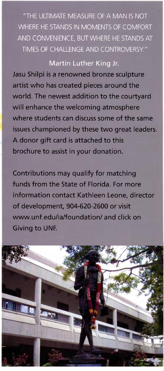"THE ULTIMATE MEASURE OF A MAN IS NOT WHERE HE STANDS IN MOMENTS OF COMFORT AND CONVENIENCE, BUT WHERE HE STANDS AT TIMES OF CHALLENGE AND CONTROVERSY."

### Martin Luther King Jr.

Jasu Shilpi is a renowned bronze sculpture artist who has created pieces around the world. The newest addition to the courtyard will enhance the welcoming atmosphere where students can discuss some of the same issues championed by these two great leaders. A donor gift card is attached to this brochure to assist in your donation.

Contributions may qualify for matching funds from the State of Florida. For more information contact Kathleen Leone, director of development, 904-620-2600 or visit [www.unf.edu/ia/foundation/](http://www.unf.edu/ia/foundation/) and click on Giving to UNF.

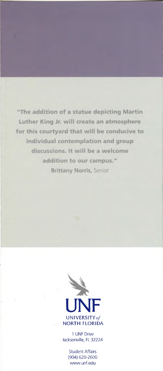"The addition of a statue depicting Martin Luther King Jr. will create an atmosphere for this courtyard that will be conducive to individual contemplation and group discussions. It will be a welcome addition to our campus." **Brittany Norris, Senior** 



<sup>1</sup> UNF Drive Jacksonville, FL 32224

> Student Affairs (904) 620-2600 www.[unf.edu](http://www.unf.edu)